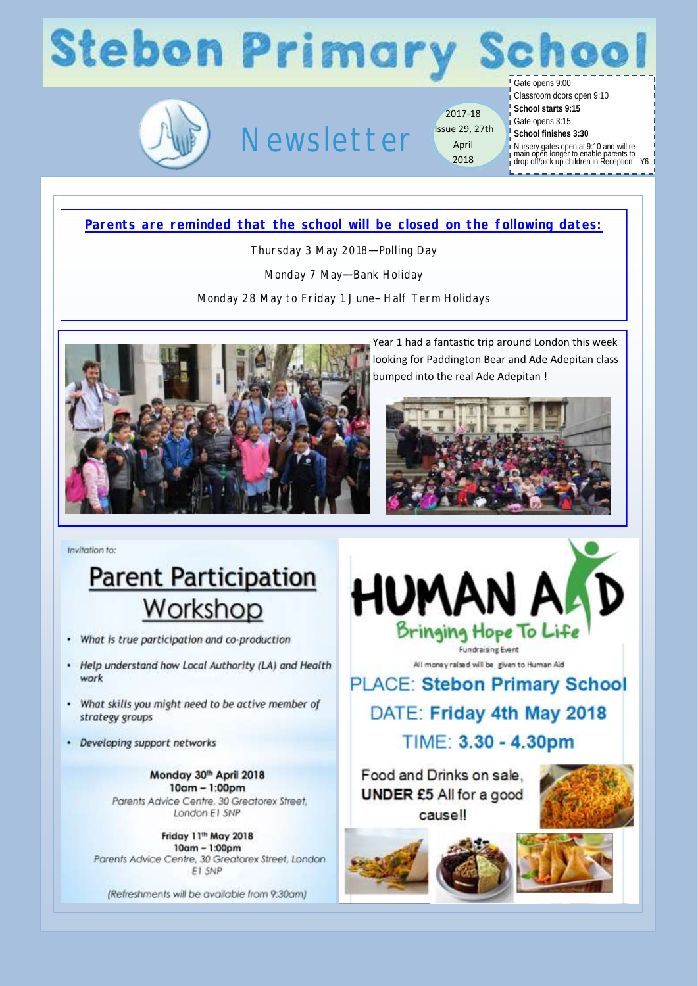# **Stebon Primary School**

Gate opens 9:00



## Newsletter

2017-18 Issue 29, 27th April 2018

Classroom doors open 9:10 **School starts 9:15**

- Gate opens 3:15
- **School finishes 3:30**
- Nursery gates open at 9:10 and will re-main open longer to enable parents to drop off/pick up children in Reception—Y6
- 

**Parents are reminded that the school will be closed on the following dates:**

Thursday 3 May 2018—Polling Day

Monday 7 May—Bank Holiday

Monday 28 May to Friday 1 June– Half Term Holidays



Year 1 had a fantastic trip around London this week looking for Paddington Bear and Ade Adepitan class bumped into the real Ade Adepitan !



Invitation to:

### **Parent Participation** Workshop

- What is true participation and co-production
- Help understand how Local Authority (LA) and Health work
- What skills you might need to be active member of strategy groups
- Developing support networks

Monday 30th April 2018  $10am - 1:00pm$ Parents Advice Centre, 30 Greatorex Street, London E1 5NP

Friday 11<sup>th</sup> May 2018  $10am - 1:00pm$ Parents Advice Centre, 30 Greatorex Street, London F1 SNP

(Retreshments will be available from 9:30am)

**HUMAN A** Bringing Hope To Life

Fundraising Event

All money raised will be given to Human Aid

**PLACE: Stebon Primary School** 

### DATE: Friday 4th May 2018

#### TIME: 3.30 - 4.30pm

Food and Drinks on sale. **UNDER £5 All for a good** causell